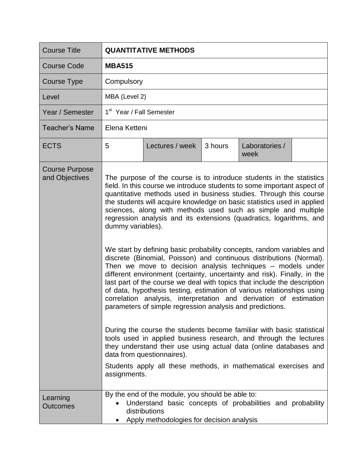| <b>Course Title</b>                     | <b>QUANTITATIVE METHODS</b>                                                                                                                                                                                                                                                                                                                                                                                                                                                                                                                                                                                                                                                                                                                                                                                                                                                                                                                                                                                                                                                                                                                                                                                                                                                                                                                                                          |                                                                                                                                                                              |         |                        |  |
|-----------------------------------------|--------------------------------------------------------------------------------------------------------------------------------------------------------------------------------------------------------------------------------------------------------------------------------------------------------------------------------------------------------------------------------------------------------------------------------------------------------------------------------------------------------------------------------------------------------------------------------------------------------------------------------------------------------------------------------------------------------------------------------------------------------------------------------------------------------------------------------------------------------------------------------------------------------------------------------------------------------------------------------------------------------------------------------------------------------------------------------------------------------------------------------------------------------------------------------------------------------------------------------------------------------------------------------------------------------------------------------------------------------------------------------------|------------------------------------------------------------------------------------------------------------------------------------------------------------------------------|---------|------------------------|--|
| <b>Course Code</b>                      | <b>MBA515</b>                                                                                                                                                                                                                                                                                                                                                                                                                                                                                                                                                                                                                                                                                                                                                                                                                                                                                                                                                                                                                                                                                                                                                                                                                                                                                                                                                                        |                                                                                                                                                                              |         |                        |  |
| <b>Course Type</b>                      | Compulsory                                                                                                                                                                                                                                                                                                                                                                                                                                                                                                                                                                                                                                                                                                                                                                                                                                                                                                                                                                                                                                                                                                                                                                                                                                                                                                                                                                           |                                                                                                                                                                              |         |                        |  |
| Level                                   | MBA (Level 2)                                                                                                                                                                                                                                                                                                                                                                                                                                                                                                                                                                                                                                                                                                                                                                                                                                                                                                                                                                                                                                                                                                                                                                                                                                                                                                                                                                        |                                                                                                                                                                              |         |                        |  |
| Year / Semester                         | 1 <sup>st</sup> Year / Fall Semester                                                                                                                                                                                                                                                                                                                                                                                                                                                                                                                                                                                                                                                                                                                                                                                                                                                                                                                                                                                                                                                                                                                                                                                                                                                                                                                                                 |                                                                                                                                                                              |         |                        |  |
| <b>Teacher's Name</b>                   | Elena Ketteni                                                                                                                                                                                                                                                                                                                                                                                                                                                                                                                                                                                                                                                                                                                                                                                                                                                                                                                                                                                                                                                                                                                                                                                                                                                                                                                                                                        |                                                                                                                                                                              |         |                        |  |
| <b>ECTS</b>                             | 5                                                                                                                                                                                                                                                                                                                                                                                                                                                                                                                                                                                                                                                                                                                                                                                                                                                                                                                                                                                                                                                                                                                                                                                                                                                                                                                                                                                    | Lectures / week                                                                                                                                                              | 3 hours | Laboratories /<br>week |  |
| <b>Course Purpose</b><br>and Objectives | The purpose of the course is to introduce students in the statistics<br>field. In this course we introduce students to some important aspect of<br>quantitative methods used in business studies. Through this course<br>the students will acquire knowledge on basic statistics used in applied<br>sciences, along with methods used such as simple and multiple<br>regression analysis and its extensions (quadratics, logarithms, and<br>dummy variables).<br>We start by defining basic probability concepts, random variables and<br>discrete (Binomial, Poisson) and continuous distributions (Normal).<br>Then we move to decision analysis techniques – models under<br>different environment (certainty, uncertainty and risk). Finally, in the<br>last part of the course we deal with topics that include the description<br>of data, hypothesis testing, estimation of various relationships using<br>correlation analysis, interpretation and derivation of estimation<br>parameters of simple regression analysis and predictions.<br>During the course the students become familiar with basic statistical<br>tools used in applied business research, and through the lectures<br>they understand their use using actual data (online databases and<br>data from questionnaires).<br>Students apply all these methods, in mathematical exercises and<br>assignments. |                                                                                                                                                                              |         |                        |  |
| Learning<br><b>Outcomes</b>             |                                                                                                                                                                                                                                                                                                                                                                                                                                                                                                                                                                                                                                                                                                                                                                                                                                                                                                                                                                                                                                                                                                                                                                                                                                                                                                                                                                                      | By the end of the module, you should be able to:<br>Understand basic concepts of probabilities and probability<br>distributions<br>Apply methodologies for decision analysis |         |                        |  |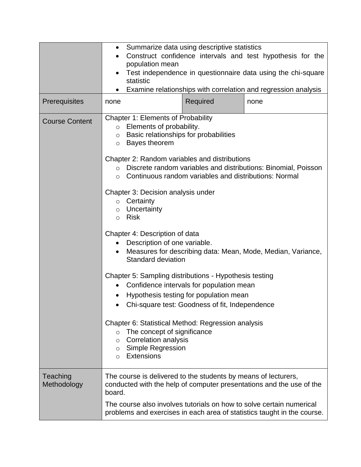|                         | Summarize data using descriptive statistics<br>$\bullet$<br>Construct confidence intervals and test hypothesis for the<br>$\bullet$<br>population mean<br>Test independence in questionnaire data using the chi-square<br>statistic<br>Examine relationships with correlation and regression analysis<br>$\bullet$                                                                                                                                                                                                                                                                                                                                                                                                                                                                                                                                                                                                                                                                                                                                                                |  |  |  |
|-------------------------|-----------------------------------------------------------------------------------------------------------------------------------------------------------------------------------------------------------------------------------------------------------------------------------------------------------------------------------------------------------------------------------------------------------------------------------------------------------------------------------------------------------------------------------------------------------------------------------------------------------------------------------------------------------------------------------------------------------------------------------------------------------------------------------------------------------------------------------------------------------------------------------------------------------------------------------------------------------------------------------------------------------------------------------------------------------------------------------|--|--|--|
| Prerequisites           | Required<br>none<br>none                                                                                                                                                                                                                                                                                                                                                                                                                                                                                                                                                                                                                                                                                                                                                                                                                                                                                                                                                                                                                                                          |  |  |  |
| <b>Course Content</b>   | <b>Chapter 1: Elements of Probability</b><br>Elements of probability.<br>$\circ$<br>Basic relationships for probabilities<br>$\circ$<br>Bayes theorem<br>$\circ$<br>Chapter 2: Random variables and distributions<br>Discrete random variables and distributions: Binomial, Poisson<br>$\circ$<br>Continuous random variables and distributions: Normal<br>$\circ$<br>Chapter 3: Decision analysis under<br>Certainty<br>$\circ$<br>Uncertainty<br>$\circ$<br>Risk<br>$\circ$<br>Chapter 4: Description of data<br>Description of one variable.<br>Measures for describing data: Mean, Mode, Median, Variance,<br>$\bullet$<br><b>Standard deviation</b><br>Chapter 5: Sampling distributions - Hypothesis testing<br>Confidence intervals for population mean<br>Hypothesis testing for population mean<br>$\bullet$<br>Chi-square test: Goodness of fit, Independence<br>Chapter 6: Statistical Method: Regression analysis<br>The concept of significance<br>$\circ$<br><b>Correlation analysis</b><br>$\circ$<br><b>Simple Regression</b><br>$\circ$<br>Extensions<br>$\circ$ |  |  |  |
| Teaching<br>Methodology | The course is delivered to the students by means of lecturers,<br>conducted with the help of computer presentations and the use of the<br>board.<br>The course also involves tutorials on how to solve certain numerical<br>problems and exercises in each area of statistics taught in the course.                                                                                                                                                                                                                                                                                                                                                                                                                                                                                                                                                                                                                                                                                                                                                                               |  |  |  |